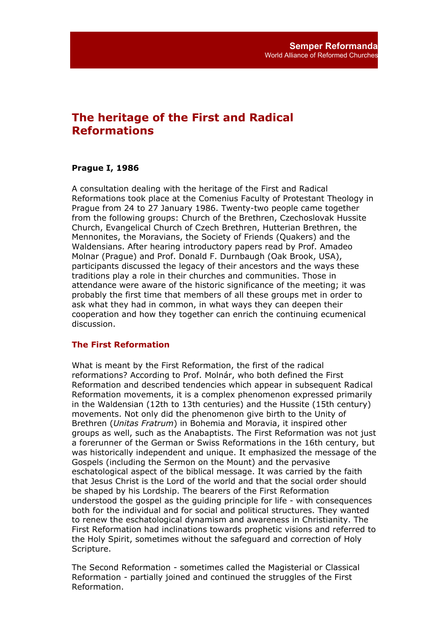# **The heritage of the First and Radical Reformations**

### **Prague I, 1986**

A consultation dealing with the heritage of the First and Radical Reformations took place at the Comenius Faculty of Protestant Theology in Prague from 24 to 27 January 1986. Twenty-two people came together from the following groups: Church of the Brethren, Czechoslovak Hussite Church, Evangelical Church of Czech Brethren, Hutterian Brethren, the Mennonites, the Moravians, the Society of Friends (Quakers) and the Waldensians. After hearing introductory papers read by Prof. Amadeo Molnar (Prague) and Prof. Donald F. Durnbaugh (Oak Brook, USA), participants discussed the legacy of their ancestors and the ways these traditions play a role in their churches and communities. Those in attendance were aware of the historic significance of the meeting; it was probably the first time that members of all these groups met in order to ask what they had in common, in what ways they can deepen their cooperation and how they together can enrich the continuing ecumenical discussion.

#### **The First Reformation**

What is meant by the First Reformation, the first of the radical reformations? According to Prof. Molnár, who both defined the First Reformation and described tendencies which appear in subsequent Radical Reformation movements, it is a complex phenomenon expressed primarily in the Waldensian (12th to 13th centuries) and the Hussite (15th century) movements. Not only did the phenomenon give birth to the Unity of Brethren (*Unitas Fratrum*) in Bohemia and Moravia, it inspired other groups as well, such as the Anabaptists. The First Reformation was not just a forerunner of the German or Swiss Reformations in the 16th century, but was historically independent and unique. It emphasized the message of the Gospels (including the Sermon on the Mount) and the pervasive eschatological aspect of the biblical message. It was carried by the faith that Jesus Christ is the Lord of the world and that the social order should be shaped by his Lordship. The bearers of the First Reformation understood the gospel as the guiding principle for life - with consequences both for the individual and for social and political structures. They wanted to renew the eschatological dynamism and awareness in Christianity. The First Reformation had inclinations towards prophetic visions and referred to the Holy Spirit, sometimes without the safeguard and correction of Holy Scripture.

The Second Reformation - sometimes called the Magisterial or Classical Reformation - partially joined and continued the struggles of the First Reformation.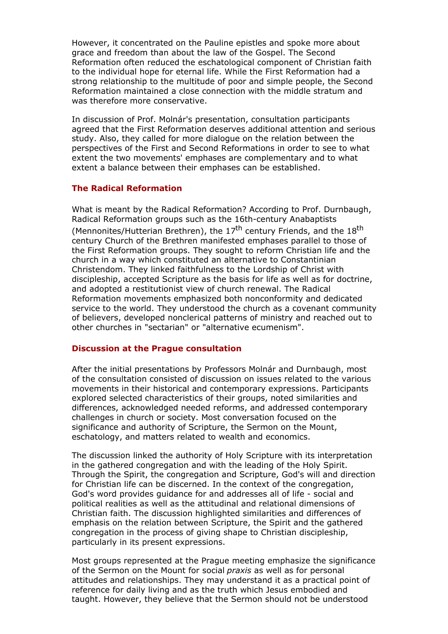However, it concentrated on the Pauline epistles and spoke more about grace and freedom than about the law of the Gospel. The Second Reformation often reduced the eschatological component of Christian faith to the individual hope for eternal life. While the First Reformation had a strong relationship to the multitude of poor and simple people, the Second Reformation maintained a close connection with the middle stratum and was therefore more conservative.

In discussion of Prof. Molnár's presentation, consultation participants agreed that the First Reformation deserves additional attention and serious study. Also, they called for more dialogue on the relation between the perspectives of the First and Second Reformations in order to see to what extent the two movements' emphases are complementary and to what extent a balance between their emphases can be established.

#### **The Radical Reformation**

What is meant by the Radical Reformation? According to Prof. Durnbaugh, Radical Reformation groups such as the 16th-century Anabaptists (Mennonites/Hutterian Brethren), the  $17<sup>th</sup>$  century Friends, and the  $18<sup>th</sup>$ century Church of the Brethren manifested emphases parallel to those of the First Reformation groups. They sought to reform Christian life and the church in a way which constituted an alternative to Constantinian Christendom. They linked faithfulness to the Lordship of Christ with discipleship, accepted Scripture as the basis for life as well as for doctrine, and adopted a restitutionist view of church renewal. The Radical Reformation movements emphasized both nonconformity and dedicated service to the world. They understood the church as a covenant community of believers, developed nonclerical patterns of ministry and reached out to other churches in "sectarian" or "alternative ecumenism".

## **Discussion at the Prague consultation**

After the initial presentations by Professors Molnár and Durnbaugh, most of the consultation consisted of discussion on issues related to the various movements in their historical and contemporary expressions. Participants explored selected characteristics of their groups, noted similarities and differences, acknowledged needed reforms, and addressed contemporary challenges in church or society. Most conversation focused on the significance and authority of Scripture, the Sermon on the Mount, eschatology, and matters related to wealth and economics.

The discussion linked the authority of Holy Scripture with its interpretation in the gathered congregation and with the leading of the Holy Spirit. Through the Spirit, the congregation and Scripture, God's will and direction for Christian life can be discerned. In the context of the congregation, God's word provides guidance for and addresses all of life - social and political realities as well as the attitudinal and relational dimensions of Christian faith. The discussion highlighted similarities and differences of emphasis on the relation between Scripture, the Spirit and the gathered congregation in the process of giving shape to Christian discipleship, particularly in its present expressions.

Most groups represented at the Prague meeting emphasize the significance of the Sermon on the Mount for social *praxis* as well as for personal attitudes and relationships. They may understand it as a practical point of reference for daily living and as the truth which Jesus embodied and taught. However, they believe that the Sermon should not be understood